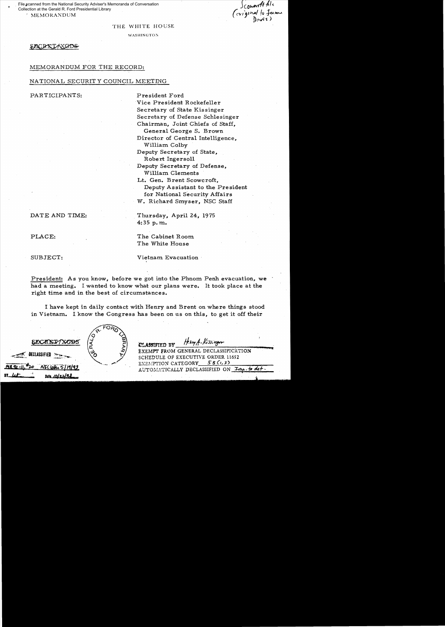, MEMORANDUM File scanned from the National Security Adviser's Memoranda of Conversation Collection at the Gerald R. Ford Presidential Library

Scouarth ple<br>Coriginal to ferme<br>Douis)

#### THE WHITE HOUSE

WASHINGTON

#### SEXCRITAXGIDS

## MEMORANDUM FOR THE RECORD:

# NA TIONAL SECURIT Y COUNCIL MEETING

PARTICIPANTS: President Ford

Vice President Rockefeller Secretary of State Kissinger Secretary of Defense Schlesinger Chairman, Joint Chiefs of Staff, General George S. Brown Director of Central Intelligence, William Colby Deputy Secretary of State, Robert Ingersoll Deputy Secretary of Defense. William Clements Lt. Gen. Brent Scowcroft. Deputy Assistant to the President for National Security Affairs W. Richard Smyser, NSC Staff

## DATE AND TIME: Thursday, April 24, 1975

PLACE: The Cabinet Room

The White House

SUBJECT: Vietnam Evacuation

President: As you know, before we got into the Phnom Penh evacuation, we had a meeting. I wanted to know what our plans were. It took place at the right time and in the best of circumstances.

4:35 p. m..

I have kept in daily contact with Henry and Brent on where things stood in Vietnam. I know the Congress has been on us on this, to get it off their

0ECLASSIFIED **MR92-11.** Data

ELASSIFIED BY Heling A. Kissinger

EXEMPT FROM GENERAL DECLASSIFICATION SCHEDULE OF EXECUTIVE ORDER 11652 EXEMPTION CATEGORY\_--=!i:::....:8...:(-",:..:;J..;;.)\_\_\_~.,.-:o*\_\_*   $\frac{NSCultu}{5111193}$  EXEMPTION CATEGORY  $\frac{58Cr,3}{N}$   $\frac{7m.5}{dr}$  def.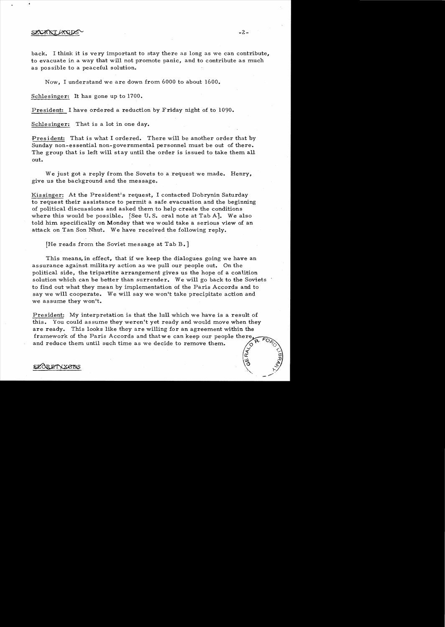## SECRET LXGD

back. I think it is very important to stay there as long as we can contribute, to evacuate in a way that will not promote panic, and to contribute as much as pos sible to a peaceful solution.

Now, I understand we are down from 6000 to about 1600.

Schlesinger: It has gone up to 1700.

President: I have ordered a reduction by Friday night of to 1090.

Schlesinger: That is a lot in one day.

President: That is what I ordered. There will be another order that by Sunday non-essential non-governmental personnel must be out of there. The group that is left will stay until the order is issued to take them all out.

We just got a reply from the Sovets to a request we made. Henry, give us the background and the message.

Kissinger: At the President's request, I contacted Dobrynin Saturday to request their assistance to permit a safe evacuation and the beginning of political discussions and asked them to help create the conditions where this would be possible. [See U.S. oral note at Tab A]. We also told him specifically on Monday that we would take a serious view of an attack on Tan Son Nhut. We have received the following reply.

[He reads from the Soviet message at Tab B.]

This means, in effect, that if we keep the dialogues going we have an assurance against. military action as we pull our people out. On the political side, the tripartite arrangement gives us the hope of a coalition solution which can be better than surrender. We will go back to the Soviets to find out what they mean by implementation of the Paris Accords and to say we will cooperate. We will say we won't take precipitate action and we assume they won't.

President: My interpretation is that the lull which we have is a result of this. You could assume they weren't yet ready and would move when they are ready. This looks like they are willing for an agreement within the framework of the Paris Accords and that we can keep our people there and reduce them until such time as we decide to remove them.

### SEOR ETV XGRS

 $\vec{r}$  ?

 $-\frac{1}{2}$ 

0:  $\sigma$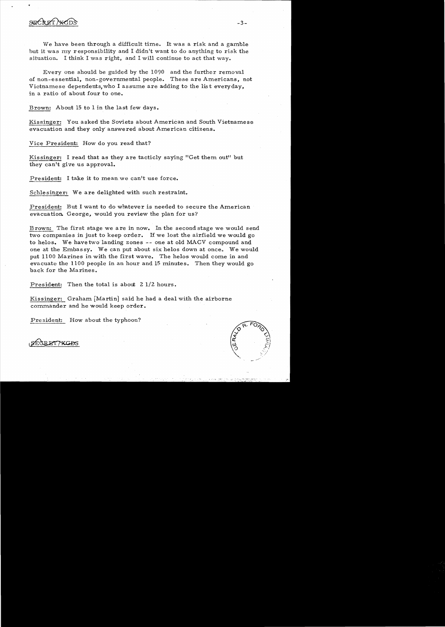

We have been through a difficult time. It was a risk and a gamble but it was my responsibility and I didn't want to do anything to risk the situation. I think I was right, and I will continue to act that way.

Everyone should be guided by the 1090 and the further removal of non-essential, non-governmental people. These are Americans, not Vietnamese dependents, who I assume are adding to the list everyday, in a ratio of about four to one.

Brown: About 15 to I in the last few days.

Kissinger: You asked the Soviets about American and South Vietnamese evacuation and they only' answered about American citizens.

Vice President: How do you read that?

Kissinger: I read that as they are tacticly saying "Get them out" but they can't give us approval.

President: I take it to mean.we can't use force.

Schlesinger: We are delighted with such restraint.

President: But I want to do whatever is needed to secure the American evacuation. George, would you review the plan for us?

Brown: The first stage we are in now. In the second stage we would send two companies in just to keep order. If we lost the airfield we would go to helos. We have two landing zones -- one at old MACV compound and one at the Embassy. We can put about six helos down at once. We would put 1100 Marines in with the first wave. The helos would come in and evacuate the 1100 people in an hour and 15 minutes. Then they would go back for the Marines.

President: Then the total is about  $2$  1/2 hours.

Kissinger: Graham [Martin] said he had a deal with the airborne commander and he would keep order.

President: How about the typhoon?



command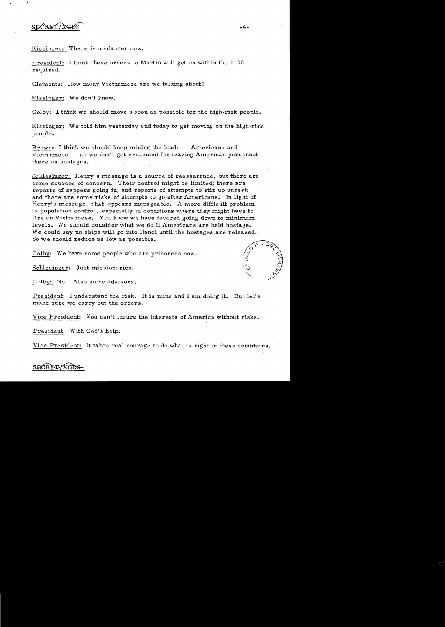SECRET / XGD

Kissinger: There is no danger now.

President: I think these orders to Martin will get us within the 1100 required.

Clements: How many Vietnamese are we talking about?

Kissinger: We don't know.

Colby: I think we should move a soon as possible for the high-risk people.

Kissinger: We told him yesterday and today to get moving on the high-risk people.

Brown: I think we should keep mixing the loads -- Americans and Vietnamese -- so we don't get criticized for leaving American personnel there as hostages.

Schlesinger: Henry's message is a source of reassurance, but there are some sources of concern. Their control might be limited; there are reports of sappers going in; and reports of attempts to stir up unrest: and there are some risks of attempts to go after Americans. In light of Henry's message, that appears manageable. A more difficult problem is population control, especially in conditions where they might have to fire on Vietnamese. You know we have favored going down to minimum levels. We should consider what we do if Americans are held hostage. We could say no ships will go into Hanoi until the hostages are released. So we should reduce as low as possible.

Colby: We have some people who are prisoners now.

Schlesinger: Just missionaries.

Colby: No. Also some advisors.

President; I understand the risk. It is mine and I am doing it. But let's make sure we carry out the orders.

Vice President: You can't insure the interests of America without risks.

President: With God's help.

Vice President: It takes real courage to do what is right in these conditions.

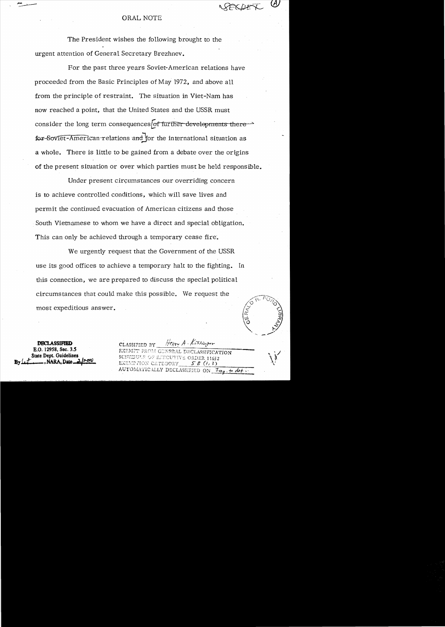## **ORAL NOTE**

The President wishes the following brought to the urgent attention of General Secretary Brezhnev.

For the past three years Soviet-American relations have proceeded from the Basic Principles of May 1972, and above all from the principle of restraint. The situation in Viet-Nam has now reached a point, that the United States and the USSR must consider the long term consequences of further-developments there  $\rightarrow$ for Soviet-American relations and for the international situation as a whole. There is little to be gained from a debate over the origins of the present situation or over which parties must be held responsible.

Under present circumstances our overriding concern is to achieve controlled conditions, which will save lives and permit the continued evacuation of American citizens and those South Vietnamese to whom we have a direct and special obligation. This can only be achieved through a temporary cease fire.

We urgently request that the Government of the USSR use its good offices to achieve a temporary halt to the fighting. In this connection, we are prepared to discuss the special political circumstances that could make this possible. We request the most expeditious answer.

**DECLASSIFIED** E.O. 12958. Sec. 3.5 State Dept. Guidelines . NARA. Date

CLASSIFIED BY Him A. Kissinger EXEMPT FROM GENERAL DECLASSIFICATION SCHEDULE OF EXECUTIVE ORDER 11652 EXEMPTION CATEGORY  $58(13)$ AUTOMATICALLY DECLASSIFIED ON Imp. to det.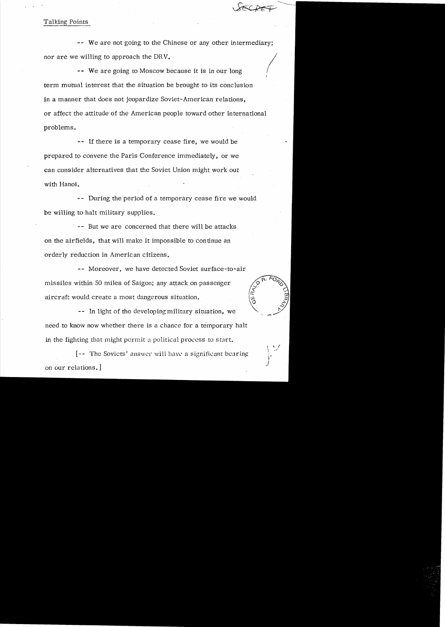# Talking Points

*I*  -- We are not going to the Chinese or any other intermediary; nor are we willing to approach the DRV.

-- We are going to Moscow because it is in our long term mutual interest that the situation be brought to its conclusion in a manner that does not jeopardize Soviet-American relations, or affect the attitude of the American people toward other international problems.

-- If there is a temporary cease fire, we would be prepared to convene the Paris Conference immediately, or we can consider alternatives that the Soviet Union might work out with Hanoi.

-- During the period of a temporary cease fire we would be willing to halt military supplies.

-- But we are concerned that there will be attacks on the airfields, that will make it impossible to con tinue an orderly reduction in American citizens.

-- Moreover, we have detected Soviet surface-to-air missiles within 50 miles of Saigon; any attack on passenger aircraft would create a most dangerous situation.

-- In light of the developing military situation, we need to know now whether there is a chance for a temporary halt in the fighting that might permit a political process to start.

 $[--]$  The Soviets' answer will have a significant bearing on our relations. ]

 $\frac{1}{1}$   $\frac{1}{2}$ 

 $\widehat{\widetilde{K}}$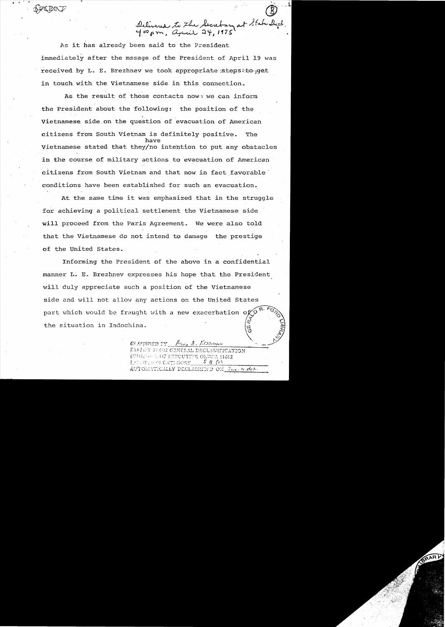Delivered to the Secretary at State Dept.

As it has already been said to the President immediately after the mssage of the President of April 19 was received by L. E. Brezhnev we took appropriate stens to get in touch with the Vietnamese side in this connection.

As the result of those contacts now: we can inform the President about the following: the position of the Vietnamese side on the question of evacuation of American citizens from South Vietnam is definitely positive. The have Vietnamese stated that they/no intention to put any obstacles in the course of military actions to evacuation of American citizens from South Vietnam and that now in fact favorable conditions have been established for such an evacuation.

At the same time it was emphasized that in the struggle for achieving a political settlement the Vietnamese side will proceed from the Paris Agreement. We were also told that the Vietnamese do not intend to damage the prestige of the United States.

Informing the President of the above in a confidential manner L. E. Brezhnev expresses his hope that the President will duly appreciate such a position of the Vietnamese side and will not allow any actions on the United States part which would be fraught with a new exacerbation of the situation in Indochina.

> Havy A. ETSSIGAN ELASTEID TY-**FRANCI FROM GENERAL DECLASSIFICATION** ECHANOL OF EXECUTIVE ORDER 11652  $5B(1)$ ESLITIFI CATEGORY  $A\bar{U}10\bar{M} \Lambda T\bar{1} \rm{CALLY}$  Declassifity on  $\mathbb{F}_{0\text{em}}$  ,  $\approx \rho Q + 1$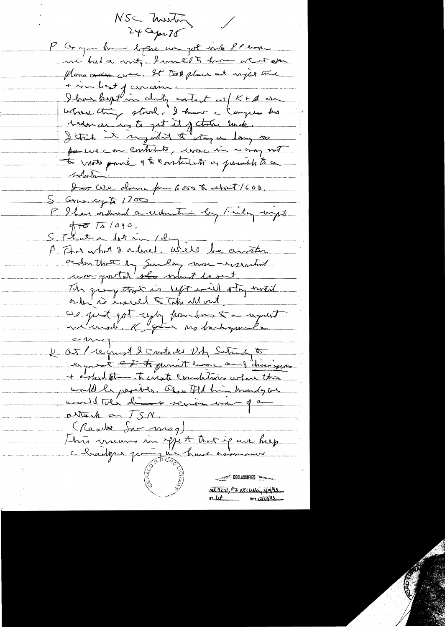NSC meeting  $24$  Cepr 75 P Groupe that hoppe we got who PP home me had a vite I want to have at it also flows order were, It took plans at injustime + in best of conceive.<br>I ban beget in cloty catact as / K + A ese where thing stood. I have a larger his tedence in to get it of the link. I think it suggested to stay a long to per un con contributo, mac in a may not to mote parie & to contribute as parado to a tolution. I as we down for Goss & about 1600. S Grandy to 1700 P Ihan ordered a udmitin by Finder with  $47875/090$ STKate dormin 12 mm P That what & adres, we'll be another order the by Sunday were-reserved un-gostal she what beaut The gives that is sept will stay noted cie just pot cypy pour sur la republic Ot / request 2 contacted Db Sutrad 5 espreix <del>Et triperment eurs au parisques</del> + orked the to except conditions where the would be jeorited. Of a till him monday we mondetale dimensions una que attach au 1911.<br>(Reube Sar meg)<br>This means in your that if we help charlyns pointed have as DECLASSIFIED MR 92-11, #2 NSLLette, 5/19/93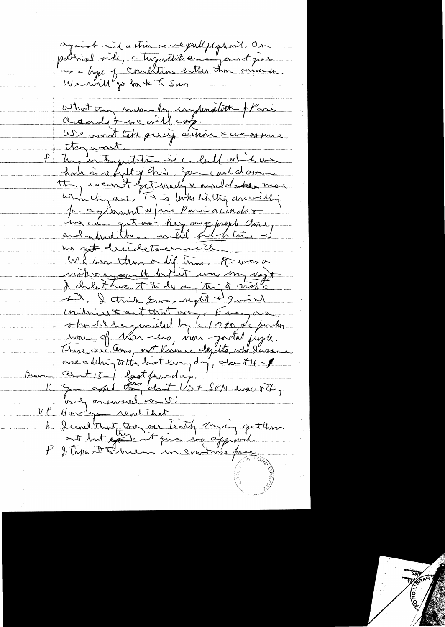againt und action de me publisse en a messons des what they man by ingression florida<br>acceder we will cong.<br>We won't take pully attoin x we assure they want. Un interpretation de la la votiche house is respecting this. Some cart damne they weren't get nully & around atten more which are This looks when an willig pay issuent a fair Paris a index me can extra hey ony payer that, ma get druiletourne du We have then a dif time. He was a with a agreement but it was my vegt at I this two night & quint untimentant comme Essen should be guardel by 6/090, the justin mon of hon-es inn-portal jugle. one addingtatta bot ling dy don't 4 - 1 ant 15 - last family. '<br>You caped they about US + SCN deve Flory only onemeral and UP Home you rend that le dendtempt tres ne toith anging getting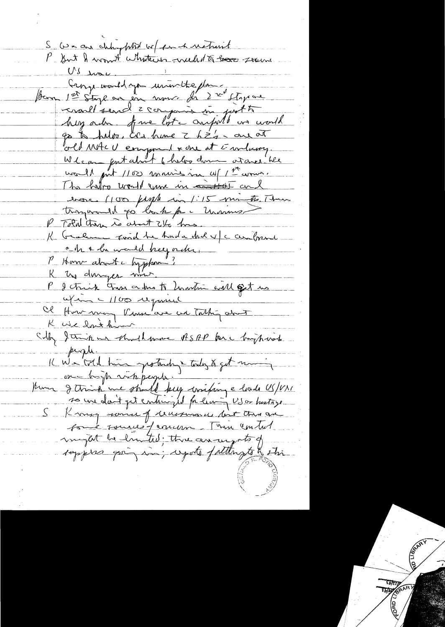S we are club photo or for h noticent P Sut & won't whatever week to book seems US mon Cange would you univolte plans reventt send z comparison part to hey order fre lost anywhet we would go to help, are hime I has are at old MACU emport & one at Embany. We can gent about 6 helps down at once. We wall put 1100 maries in 11 1 th wom. The helps would gun in control and bare (100 fight in 1:15 minutes, There trangemental go book por Manus P Told there is about 21/2 hrs. K Graham Ford the Anda dul v/c centerent che & he would keep order, P Home about l'apphon R un cruise me ce dons to hantim will get us afin - 1100 require "<br>Ob How may Paux are not Tathy and silly danipure should more ASAP for chipping people. K We tril hui protection & today & get maning so une dont pet entire il fa limin US or hustage S Knyg somme of recessmance but this are sont sources permisson. Then control import la limitad; three aroungs to of